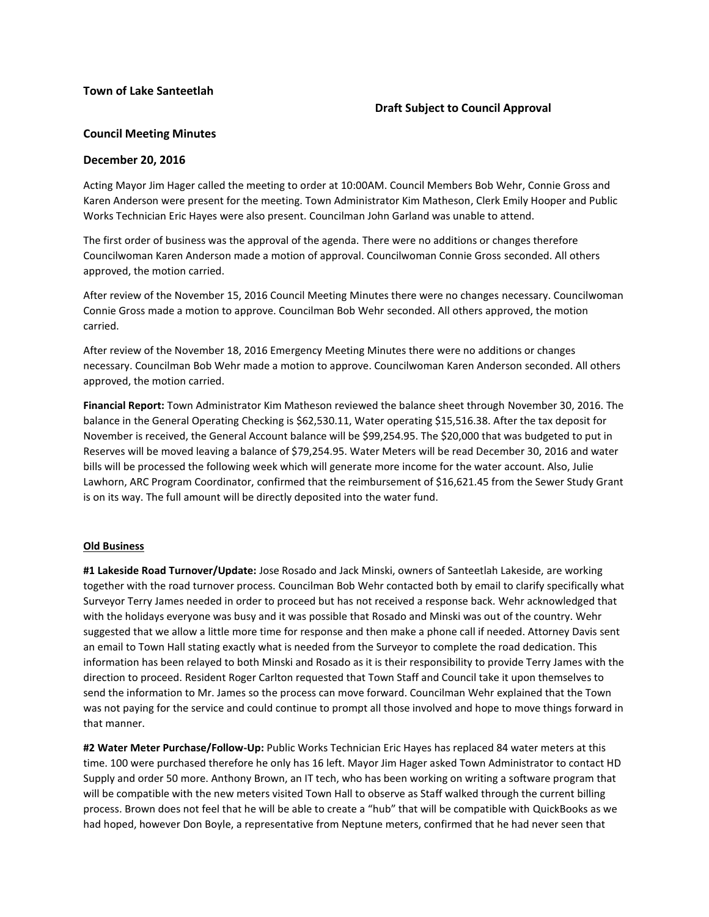### **Town of Lake Santeetlah**

# **Draft Subject to Council Approval**

# **Council Meeting Minutes**

#### **December 20, 2016**

Acting Mayor Jim Hager called the meeting to order at 10:00AM. Council Members Bob Wehr, Connie Gross and Karen Anderson were present for the meeting. Town Administrator Kim Matheson, Clerk Emily Hooper and Public Works Technician Eric Hayes were also present. Councilman John Garland was unable to attend.

The first order of business was the approval of the agenda. There were no additions or changes therefore Councilwoman Karen Anderson made a motion of approval. Councilwoman Connie Gross seconded. All others approved, the motion carried.

After review of the November 15, 2016 Council Meeting Minutes there were no changes necessary. Councilwoman Connie Gross made a motion to approve. Councilman Bob Wehr seconded. All others approved, the motion carried.

After review of the November 18, 2016 Emergency Meeting Minutes there were no additions or changes necessary. Councilman Bob Wehr made a motion to approve. Councilwoman Karen Anderson seconded. All others approved, the motion carried.

**Financial Report:** Town Administrator Kim Matheson reviewed the balance sheet through November 30, 2016. The balance in the General Operating Checking is \$62,530.11, Water operating \$15,516.38. After the tax deposit for November is received, the General Account balance will be \$99,254.95. The \$20,000 that was budgeted to put in Reserves will be moved leaving a balance of \$79,254.95. Water Meters will be read December 30, 2016 and water bills will be processed the following week which will generate more income for the water account. Also, Julie Lawhorn, ARC Program Coordinator, confirmed that the reimbursement of \$16,621.45 from the Sewer Study Grant is on its way. The full amount will be directly deposited into the water fund.

#### **Old Business**

**#1 Lakeside Road Turnover/Update:** Jose Rosado and Jack Minski, owners of Santeetlah Lakeside, are working together with the road turnover process. Councilman Bob Wehr contacted both by email to clarify specifically what Surveyor Terry James needed in order to proceed but has not received a response back. Wehr acknowledged that with the holidays everyone was busy and it was possible that Rosado and Minski was out of the country. Wehr suggested that we allow a little more time for response and then make a phone call if needed. Attorney Davis sent an email to Town Hall stating exactly what is needed from the Surveyor to complete the road dedication. This information has been relayed to both Minski and Rosado as it is their responsibility to provide Terry James with the direction to proceed. Resident Roger Carlton requested that Town Staff and Council take it upon themselves to send the information to Mr. James so the process can move forward. Councilman Wehr explained that the Town was not paying for the service and could continue to prompt all those involved and hope to move things forward in that manner.

**#2 Water Meter Purchase/Follow-Up:** Public Works Technician Eric Hayes has replaced 84 water meters at this time. 100 were purchased therefore he only has 16 left. Mayor Jim Hager asked Town Administrator to contact HD Supply and order 50 more. Anthony Brown, an IT tech, who has been working on writing a software program that will be compatible with the new meters visited Town Hall to observe as Staff walked through the current billing process. Brown does not feel that he will be able to create a "hub" that will be compatible with QuickBooks as we had hoped, however Don Boyle, a representative from Neptune meters, confirmed that he had never seen that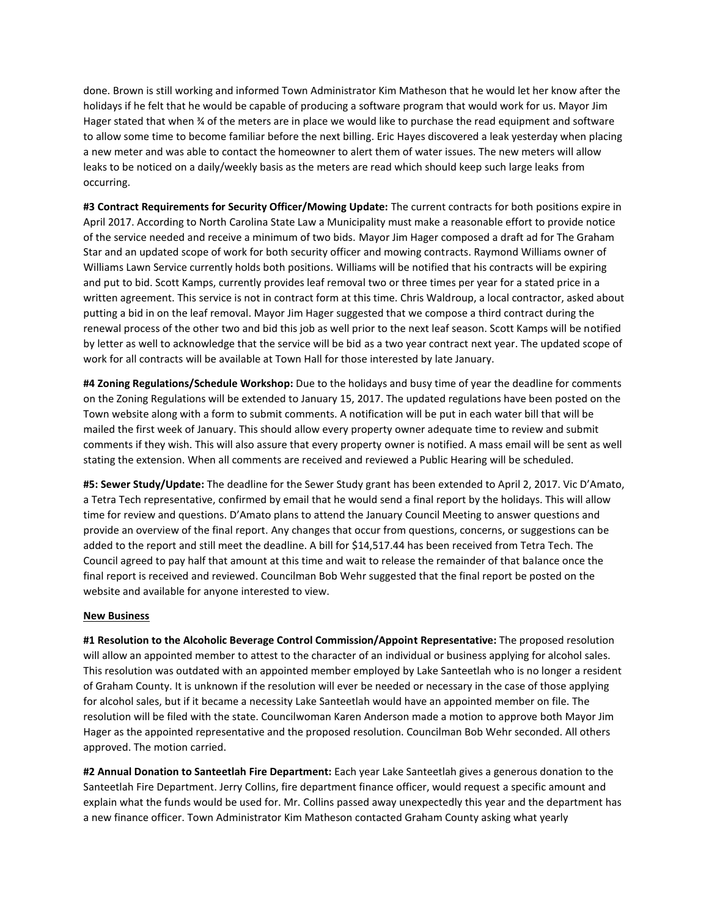done. Brown is still working and informed Town Administrator Kim Matheson that he would let her know after the holidays if he felt that he would be capable of producing a software program that would work for us. Mayor Jim Hager stated that when % of the meters are in place we would like to purchase the read equipment and software to allow some time to become familiar before the next billing. Eric Hayes discovered a leak yesterday when placing a new meter and was able to contact the homeowner to alert them of water issues. The new meters will allow leaks to be noticed on a daily/weekly basis as the meters are read which should keep such large leaks from occurring.

**#3 Contract Requirements for Security Officer/Mowing Update:** The current contracts for both positions expire in April 2017. According to North Carolina State Law a Municipality must make a reasonable effort to provide notice of the service needed and receive a minimum of two bids. Mayor Jim Hager composed a draft ad for The Graham Star and an updated scope of work for both security officer and mowing contracts. Raymond Williams owner of Williams Lawn Service currently holds both positions. Williams will be notified that his contracts will be expiring and put to bid. Scott Kamps, currently provides leaf removal two or three times per year for a stated price in a written agreement. This service is not in contract form at this time. Chris Waldroup, a local contractor, asked about putting a bid in on the leaf removal. Mayor Jim Hager suggested that we compose a third contract during the renewal process of the other two and bid this job as well prior to the next leaf season. Scott Kamps will be notified by letter as well to acknowledge that the service will be bid as a two year contract next year. The updated scope of work for all contracts will be available at Town Hall for those interested by late January.

**#4 Zoning Regulations/Schedule Workshop:** Due to the holidays and busy time of year the deadline for comments on the Zoning Regulations will be extended to January 15, 2017. The updated regulations have been posted on the Town website along with a form to submit comments. A notification will be put in each water bill that will be mailed the first week of January. This should allow every property owner adequate time to review and submit comments if they wish. This will also assure that every property owner is notified. A mass email will be sent as well stating the extension. When all comments are received and reviewed a Public Hearing will be scheduled.

**#5: Sewer Study/Update:** The deadline for the Sewer Study grant has been extended to April 2, 2017. Vic D'Amato, a Tetra Tech representative, confirmed by email that he would send a final report by the holidays. This will allow time for review and questions. D'Amato plans to attend the January Council Meeting to answer questions and provide an overview of the final report. Any changes that occur from questions, concerns, or suggestions can be added to the report and still meet the deadline. A bill for \$14,517.44 has been received from Tetra Tech. The Council agreed to pay half that amount at this time and wait to release the remainder of that balance once the final report is received and reviewed. Councilman Bob Wehr suggested that the final report be posted on the website and available for anyone interested to view.

#### **New Business**

**#1 Resolution to the Alcoholic Beverage Control Commission/Appoint Representative:** The proposed resolution will allow an appointed member to attest to the character of an individual or business applying for alcohol sales. This resolution was outdated with an appointed member employed by Lake Santeetlah who is no longer a resident of Graham County. It is unknown if the resolution will ever be needed or necessary in the case of those applying for alcohol sales, but if it became a necessity Lake Santeetlah would have an appointed member on file. The resolution will be filed with the state. Councilwoman Karen Anderson made a motion to approve both Mayor Jim Hager as the appointed representative and the proposed resolution. Councilman Bob Wehr seconded. All others approved. The motion carried.

**#2 Annual Donation to Santeetlah Fire Department:** Each year Lake Santeetlah gives a generous donation to the Santeetlah Fire Department. Jerry Collins, fire department finance officer, would request a specific amount and explain what the funds would be used for. Mr. Collins passed away unexpectedly this year and the department has a new finance officer. Town Administrator Kim Matheson contacted Graham County asking what yearly